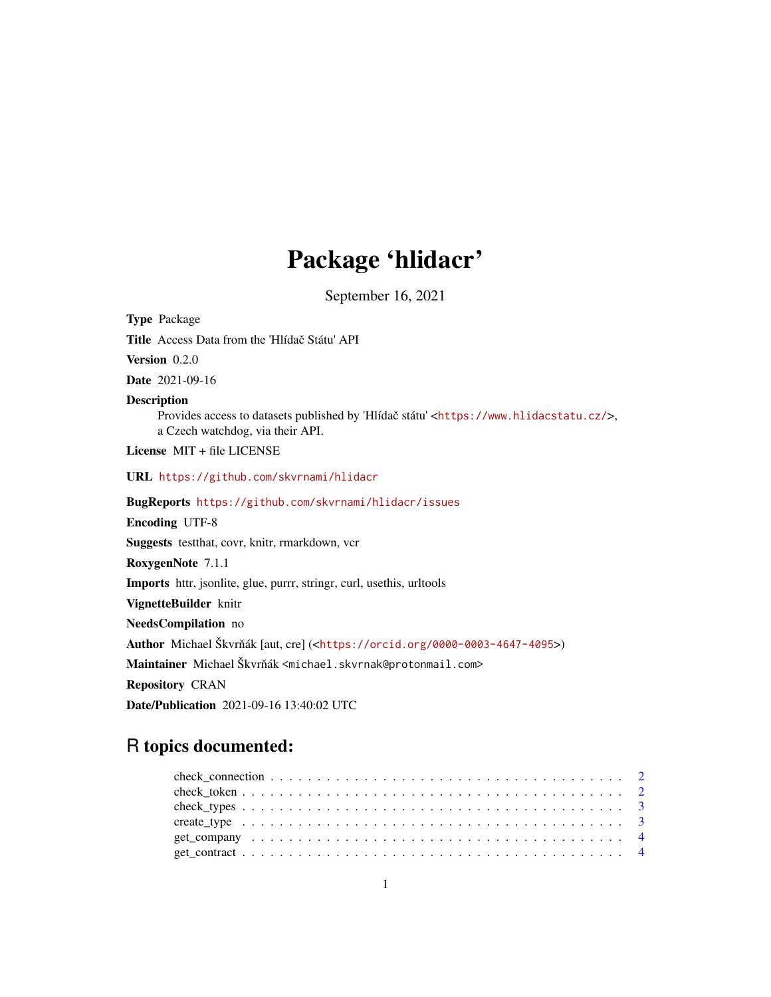## Package 'hlidacr'

September 16, 2021

Type Package Title Access Data from the 'Hlídač Státu' API Version 0.2.0 Date 2021-09-16 Description Provides access to datasets published by 'Hlídač státu' <<https://www.hlidacstatu.cz/>>, a Czech watchdog, via their API. License MIT + file LICENSE URL <https://github.com/skvrnami/hlidacr> BugReports <https://github.com/skvrnami/hlidacr/issues> Encoding UTF-8 Suggests testthat, covr, knitr, rmarkdown, vcr RoxygenNote 7.1.1 Imports httr, jsonlite, glue, purrr, stringr, curl, usethis, urltools VignetteBuilder knitr NeedsCompilation no Author Michael Škvrňák [aut, cre] (<<https://orcid.org/0000-0003-4647-4095>>) Maintainer Michael Škvrňák <michael.skvrnak@protonmail.com> Repository CRAN Date/Publication 2021-09-16 13:40:02 UTC

## R topics documented:

| get company $\ldots \ldots \ldots \ldots \ldots \ldots \ldots \ldots \ldots \ldots \ldots \ldots \ldots$ |  |
|----------------------------------------------------------------------------------------------------------|--|
|                                                                                                          |  |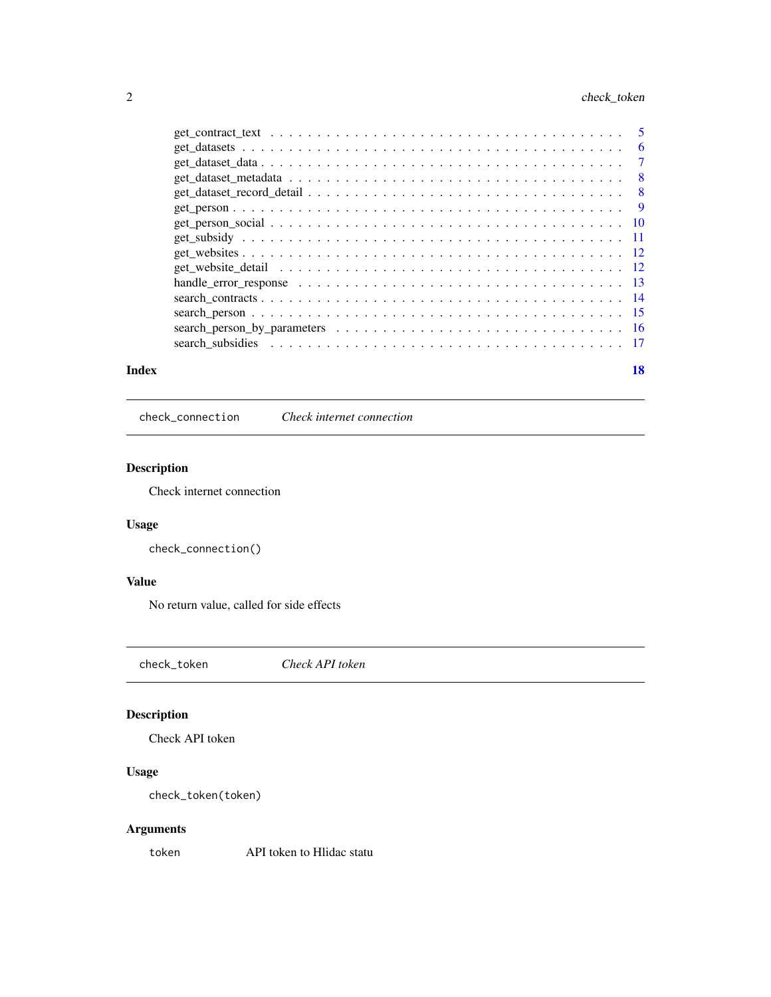## <span id="page-1-0"></span>2 check\_token

|       | handle_error_response $\ldots \ldots \ldots \ldots \ldots \ldots \ldots \ldots \ldots \ldots \ldots \ldots \ldots 13$ |    |
|-------|-----------------------------------------------------------------------------------------------------------------------|----|
|       |                                                                                                                       |    |
|       |                                                                                                                       |    |
|       |                                                                                                                       |    |
|       |                                                                                                                       |    |
| Index |                                                                                                                       | 18 |

check\_connection *Check internet connection*

## Description

Check internet connection

## Usage

check\_connection()

## Value

No return value, called for side effects

check\_token *Check API token*

## Description

Check API token

## Usage

check\_token(token)

## Arguments

token API token to Hlidac statu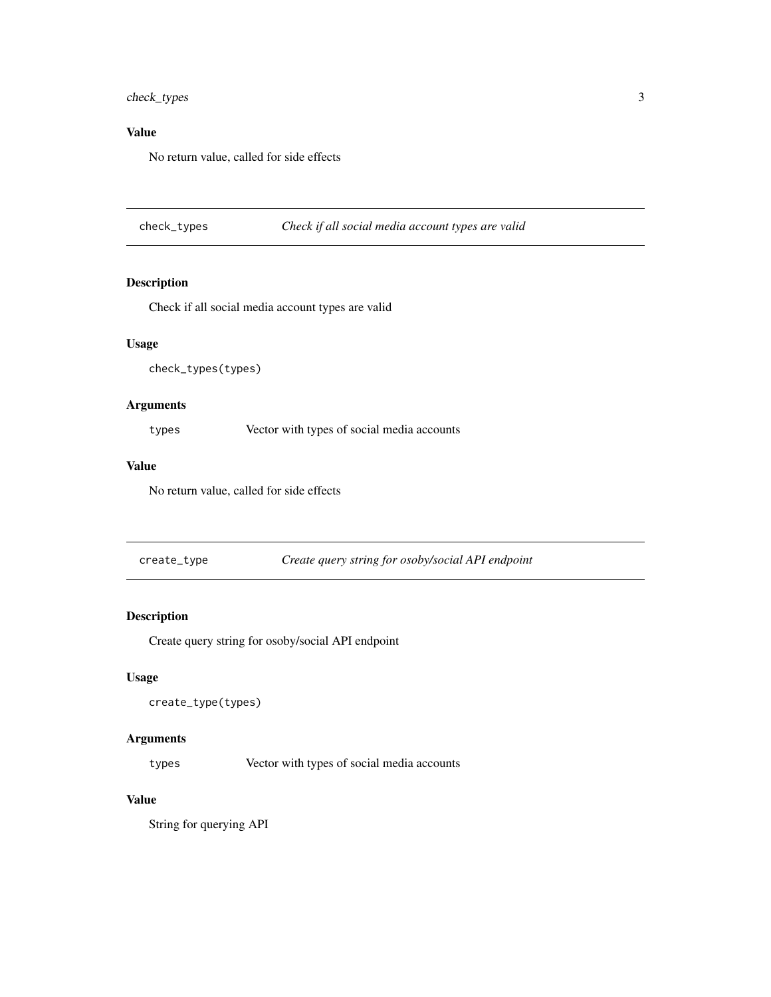## <span id="page-2-0"></span>check\_types 3

## Value

No return value, called for side effects

check\_types *Check if all social media account types are valid*

## Description

Check if all social media account types are valid

#### Usage

```
check_types(types)
```
## Arguments

types Vector with types of social media accounts

## Value

No return value, called for side effects

create\_type *Create query string for osoby/social API endpoint*

## Description

Create query string for osoby/social API endpoint

#### Usage

```
create_type(types)
```
## Arguments

types Vector with types of social media accounts

## Value

String for querying API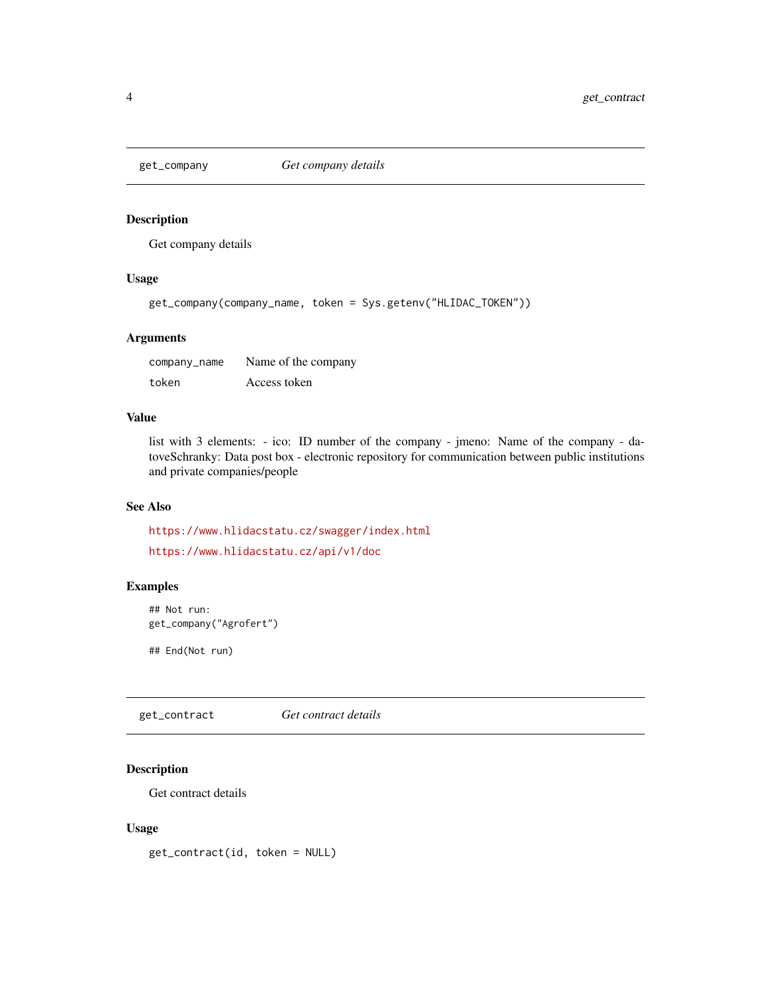<span id="page-3-0"></span>

Get company details

## Usage

get\_company(company\_name, token = Sys.getenv("HLIDAC\_TOKEN"))

#### Arguments

| company_name | Name of the company |
|--------------|---------------------|
| token        | Access token        |

### Value

list with 3 elements: - ico: ID number of the company - jmeno: Name of the company - datoveSchranky: Data post box - electronic repository for communication between public institutions and private companies/people

#### See Also

<https://www.hlidacstatu.cz/swagger/index.html> <https://www.hlidacstatu.cz/api/v1/doc>

## Examples

```
## Not run:
get_company("Agrofert")
```
## End(Not run)

get\_contract *Get contract details*

## Description

Get contract details

## Usage

get\_contract(id, token = NULL)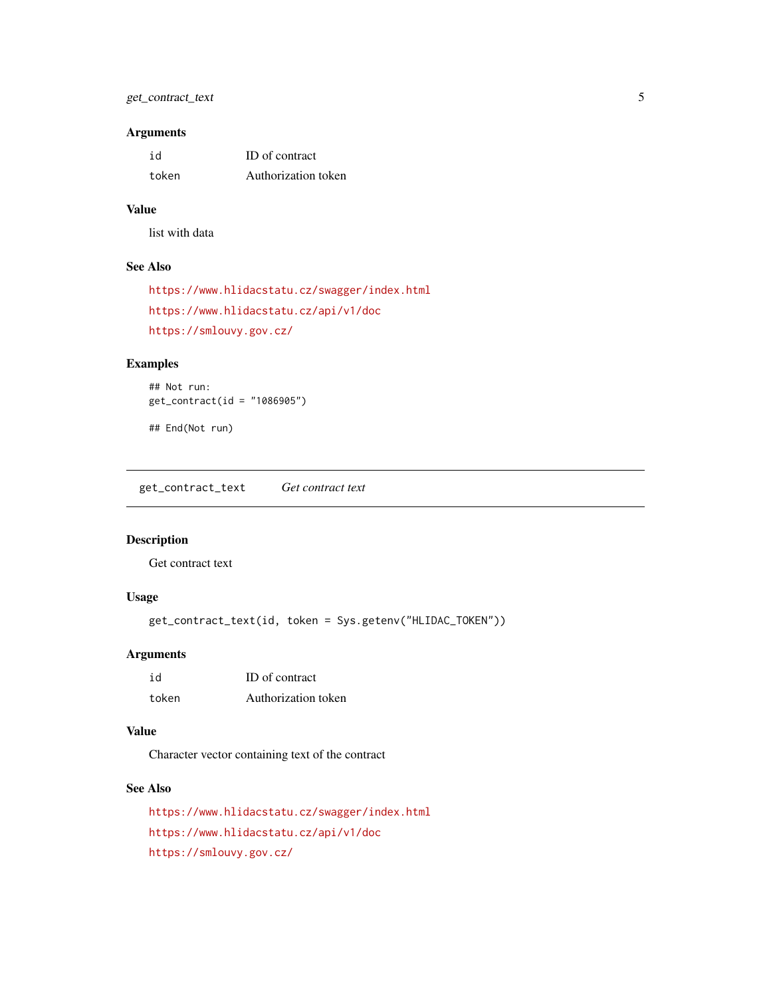## <span id="page-4-0"></span>get\_contract\_text 5

#### Arguments

| id    | ID of contract      |
|-------|---------------------|
| token | Authorization token |

#### Value

list with data

#### See Also

```
https://www.hlidacstatu.cz/swagger/index.html
https://www.hlidacstatu.cz/api/v1/doc
https://smlouvy.gov.cz/
```
## Examples

```
## Not run:
get_contract(id = "1086905")
```
## End(Not run)

get\_contract\_text *Get contract text*

## Description

Get contract text

## Usage

get\_contract\_text(id, token = Sys.getenv("HLIDAC\_TOKEN"))

## Arguments

| id    | ID of contract      |
|-------|---------------------|
| token | Authorization token |

#### Value

Character vector containing text of the contract

#### See Also

<https://www.hlidacstatu.cz/swagger/index.html> <https://www.hlidacstatu.cz/api/v1/doc> <https://smlouvy.gov.cz/>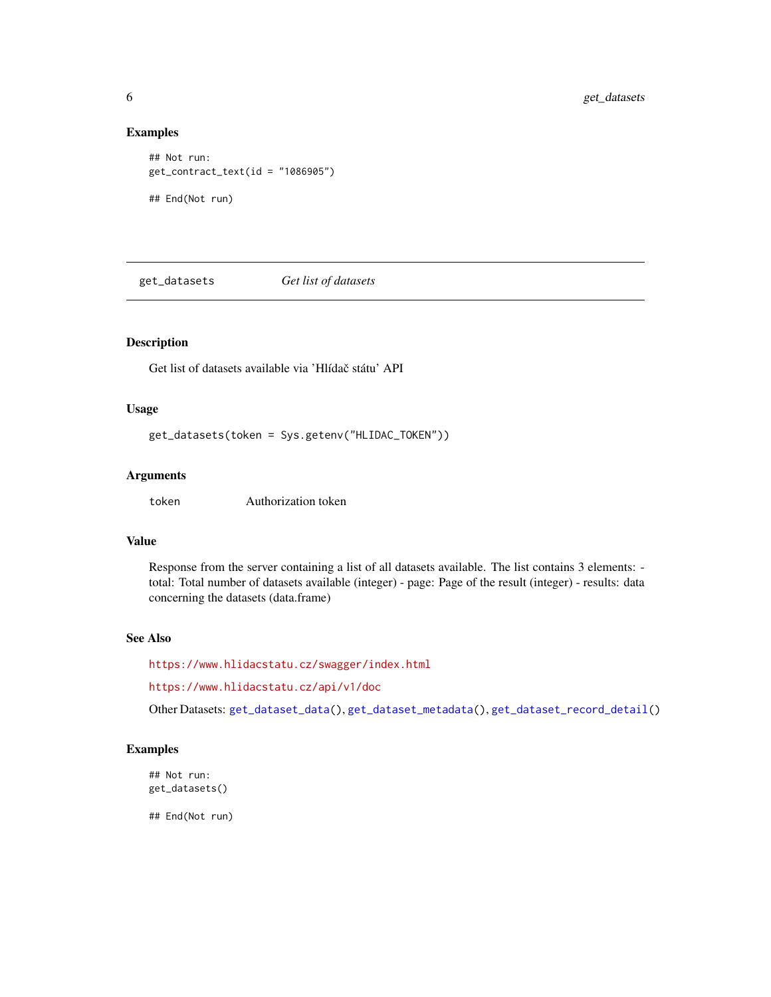#### Examples

```
## Not run:
get_contract_text(id = "1086905")
## End(Not run)
```
<span id="page-5-1"></span>get\_datasets *Get list of datasets*

#### Description

Get list of datasets available via 'Hlídač státu' API

### Usage

get\_datasets(token = Sys.getenv("HLIDAC\_TOKEN"))

#### Arguments

token Authorization token

#### Value

Response from the server containing a list of all datasets available. The list contains 3 elements: total: Total number of datasets available (integer) - page: Page of the result (integer) - results: data concerning the datasets (data.frame)

## See Also

<https://www.hlidacstatu.cz/swagger/index.html>

<https://www.hlidacstatu.cz/api/v1/doc>

Other Datasets: [get\\_dataset\\_data\(](#page-6-1)), [get\\_dataset\\_metadata\(](#page-7-1)), [get\\_dataset\\_record\\_detail\(](#page-7-2))

#### Examples

## Not run: get\_datasets()

<span id="page-5-0"></span>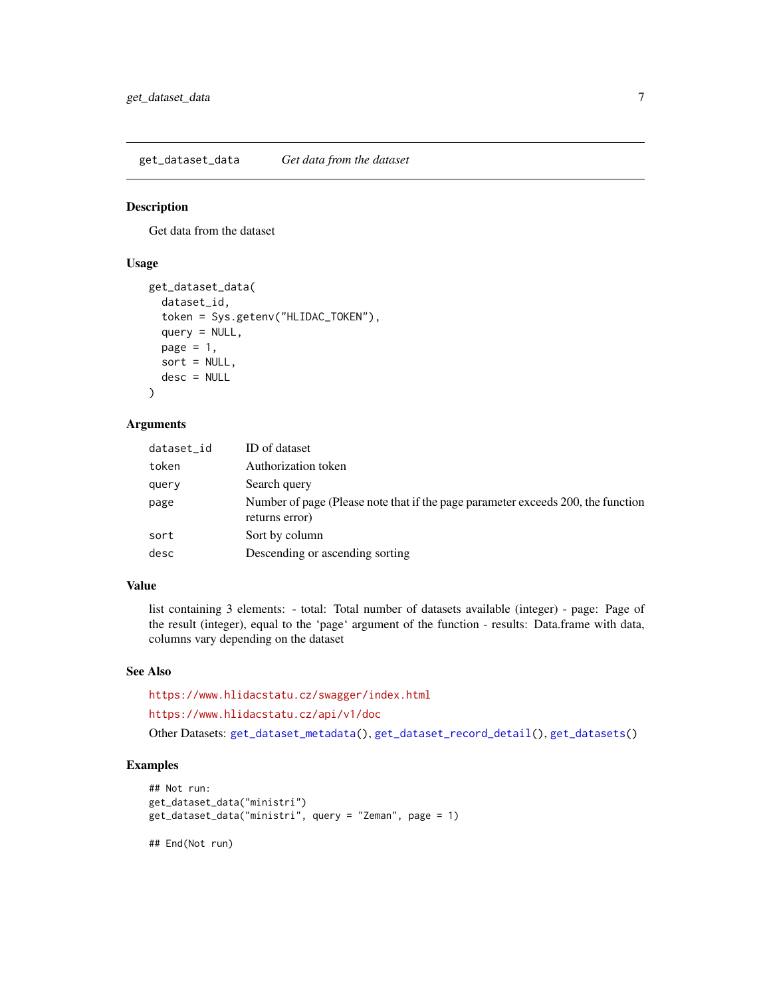<span id="page-6-1"></span><span id="page-6-0"></span>get\_dataset\_data *Get data from the dataset*

#### Description

Get data from the dataset

## Usage

```
get_dataset_data(
  dataset_id,
  token = Sys.getenv("HLIDAC_TOKEN"),
  query = NULL,
  page = 1,
  sort = NULL,desc = NULL
)
```
## Arguments

| dataset_id | ID of dataset                                                                                      |
|------------|----------------------------------------------------------------------------------------------------|
| token      | Authorization token                                                                                |
| query      | Search query                                                                                       |
| page       | Number of page (Please note that if the page parameter exceeds 200, the function<br>returns error) |
| sort       | Sort by column                                                                                     |
| desc       | Descending or ascending sorting                                                                    |

#### Value

list containing 3 elements: - total: Total number of datasets available (integer) - page: Page of the result (integer), equal to the 'page' argument of the function - results: Data.frame with data, columns vary depending on the dataset

#### See Also

<https://www.hlidacstatu.cz/swagger/index.html> <https://www.hlidacstatu.cz/api/v1/doc> Other Datasets: [get\\_dataset\\_metadata\(](#page-7-1)), [get\\_dataset\\_record\\_detail\(](#page-7-2)), [get\\_datasets\(](#page-5-1))

## Examples

```
## Not run:
get_dataset_data("ministri")
get_dataset_data("ministri", query = "Zeman", page = 1)
## End(Not run)
```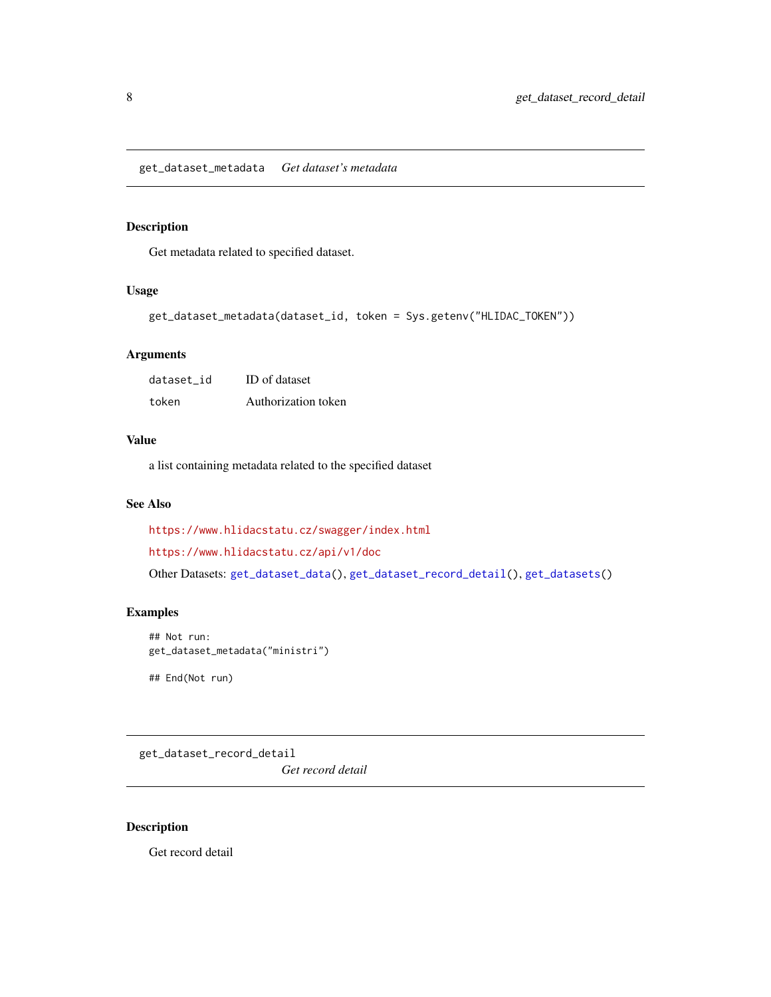<span id="page-7-1"></span><span id="page-7-0"></span>Get metadata related to specified dataset.

## Usage

```
get_dataset_metadata(dataset_id, token = Sys.getenv("HLIDAC_TOKEN"))
```
#### Arguments

| dataset id | <b>ID</b> of dataset |
|------------|----------------------|
| token      | Authorization token  |

## Value

a list containing metadata related to the specified dataset

#### See Also

<https://www.hlidacstatu.cz/swagger/index.html>

<https://www.hlidacstatu.cz/api/v1/doc>

Other Datasets: [get\\_dataset\\_data\(](#page-6-1)), [get\\_dataset\\_record\\_detail\(](#page-7-2)), [get\\_datasets\(](#page-5-1))

## Examples

```
## Not run:
get_dataset_metadata("ministri")
```
## End(Not run)

<span id="page-7-2"></span>get\_dataset\_record\_detail

*Get record detail*

#### Description

Get record detail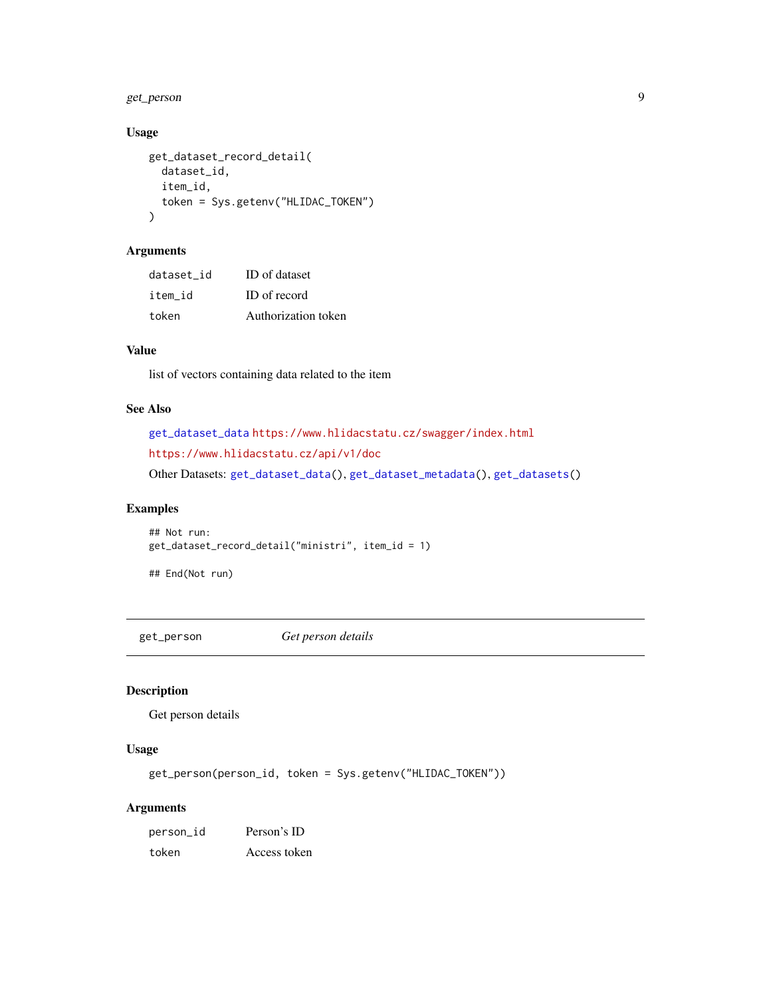## <span id="page-8-0"></span>get\_person 9

## Usage

```
get_dataset_record_detail(
  dataset_id,
  item_id,
  token = Sys.getenv("HLIDAC_TOKEN")
\mathcal{L}
```
## Arguments

| dataset id | ID of dataset       |
|------------|---------------------|
| item id    | ID of record        |
| token      | Authorization token |

## Value

list of vectors containing data related to the item

## See Also

```
get_dataset_data https://www.hlidacstatu.cz/swagger/index.html
https://www.hlidacstatu.cz/api/v1/doc
Other Datasets: get_dataset_data(), get_dataset_metadata(), get_datasets()
```
## Examples

```
## Not run:
get_dataset_record_detail("ministri", item_id = 1)
```
## End(Not run)

<span id="page-8-1"></span>get\_person *Get person details*

#### Description

Get person details

## Usage

get\_person(person\_id, token = Sys.getenv("HLIDAC\_TOKEN"))

## Arguments

| person_id | Person's ID  |
|-----------|--------------|
| token     | Access token |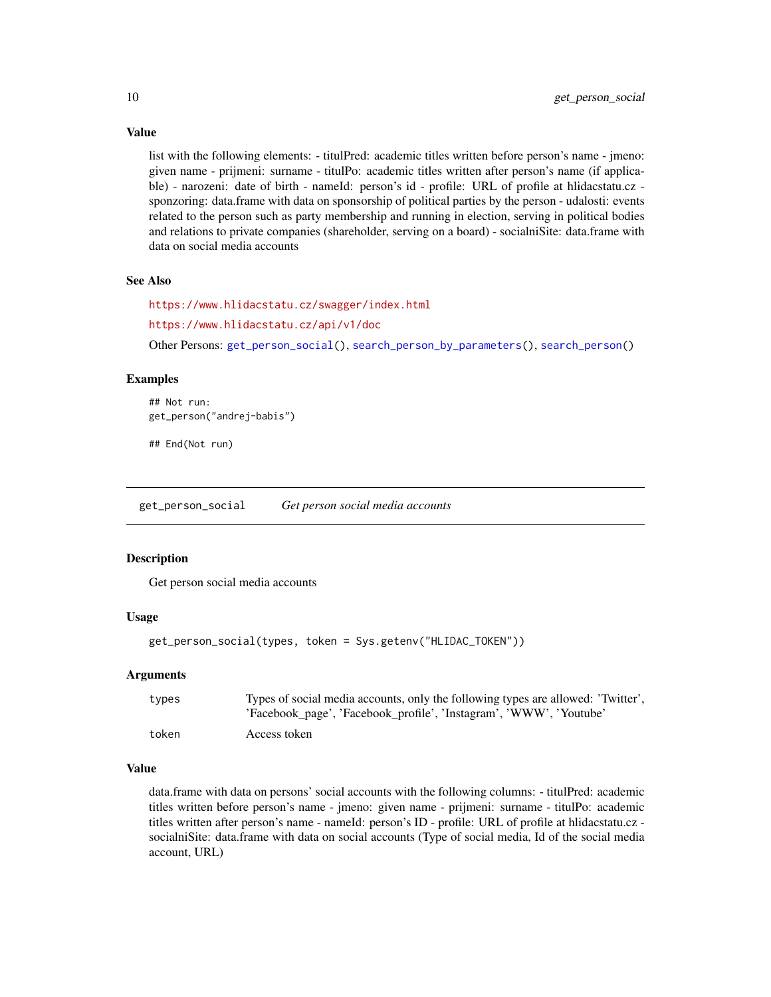Value

list with the following elements: - titulPred: academic titles written before person's name - jmeno: given name - prijmeni: surname - titulPo: academic titles written after person's name (if applicable) - narozeni: date of birth - nameId: person's id - profile: URL of profile at hlidacstatu.cz sponzoring: data.frame with data on sponsorship of political parties by the person - udalosti: events related to the person such as party membership and running in election, serving in political bodies and relations to private companies (shareholder, serving on a board) - socialniSite: data.frame with data on social media accounts

#### See Also

<https://www.hlidacstatu.cz/swagger/index.html> <https://www.hlidacstatu.cz/api/v1/doc>

Other Persons: [get\\_person\\_social\(](#page-9-1)), [search\\_person\\_by\\_parameters\(](#page-15-1)), [search\\_person\(](#page-14-1))

#### Examples

```
## Not run:
get_person("andrej-babis")
```
## End(Not run)

<span id="page-9-1"></span>get\_person\_social *Get person social media accounts*

#### **Description**

Get person social media accounts

#### Usage

```
get_person_social(types, token = Sys.getenv("HLIDAC_TOKEN"))
```
#### Arguments

| types | Types of social media accounts, only the following types are allowed: 'Twitter',<br>'Facebook_page', 'Facebook_profile', 'Instagram', 'WWW', 'Youtube' |
|-------|--------------------------------------------------------------------------------------------------------------------------------------------------------|
| token | Access token                                                                                                                                           |

#### Value

data.frame with data on persons' social accounts with the following columns: - titulPred: academic titles written before person's name - jmeno: given name - prijmeni: surname - titulPo: academic titles written after person's name - nameId: person's ID - profile: URL of profile at hlidacstatu.cz socialniSite: data.frame with data on social accounts (Type of social media, Id of the social media account, URL)

<span id="page-9-0"></span>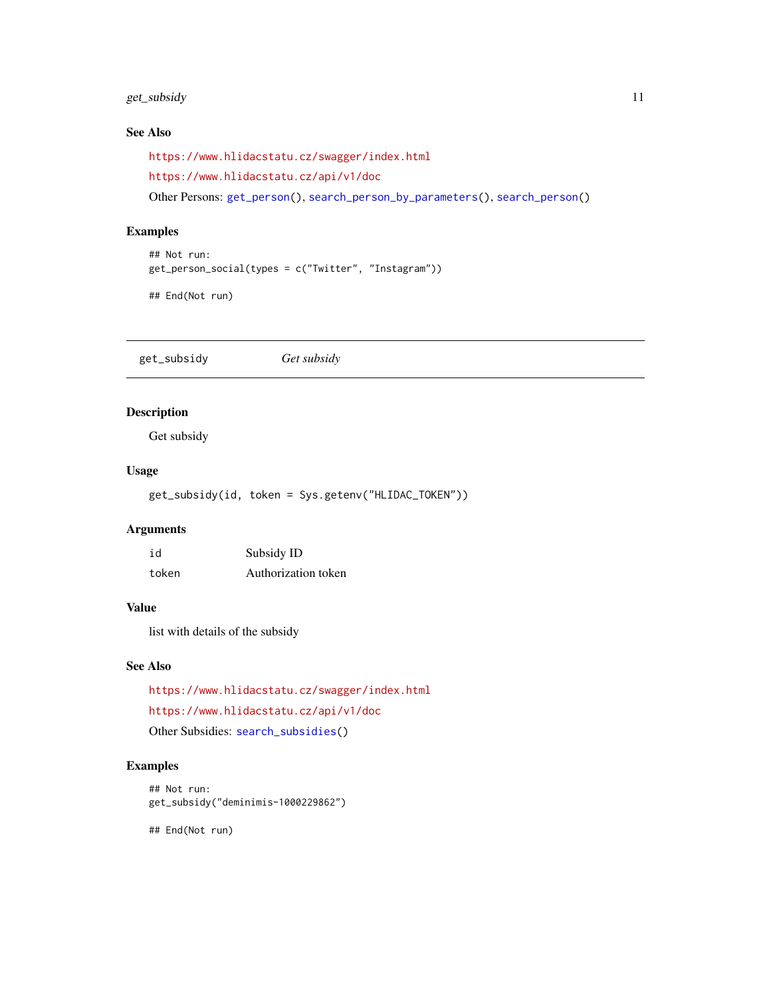## <span id="page-10-0"></span>get\_subsidy 11

## See Also

<https://www.hlidacstatu.cz/swagger/index.html>

<https://www.hlidacstatu.cz/api/v1/doc>

Other Persons: [get\\_person\(](#page-8-1)), [search\\_person\\_by\\_parameters\(](#page-15-1)), [search\\_person\(](#page-14-1))

## Examples

## Not run: get\_person\_social(types = c("Twitter", "Instagram"))

## End(Not run)

<span id="page-10-1"></span>get\_subsidy *Get subsidy*

## Description

Get subsidy

## Usage

get\_subsidy(id, token = Sys.getenv("HLIDAC\_TOKEN"))

## Arguments

| id    | Subsidy ID          |
|-------|---------------------|
| token | Authorization token |

#### Value

list with details of the subsidy

#### See Also

<https://www.hlidacstatu.cz/swagger/index.html> <https://www.hlidacstatu.cz/api/v1/doc> Other Subsidies: [search\\_subsidies\(](#page-16-1))

## Examples

## Not run: get\_subsidy("deminimis-1000229862")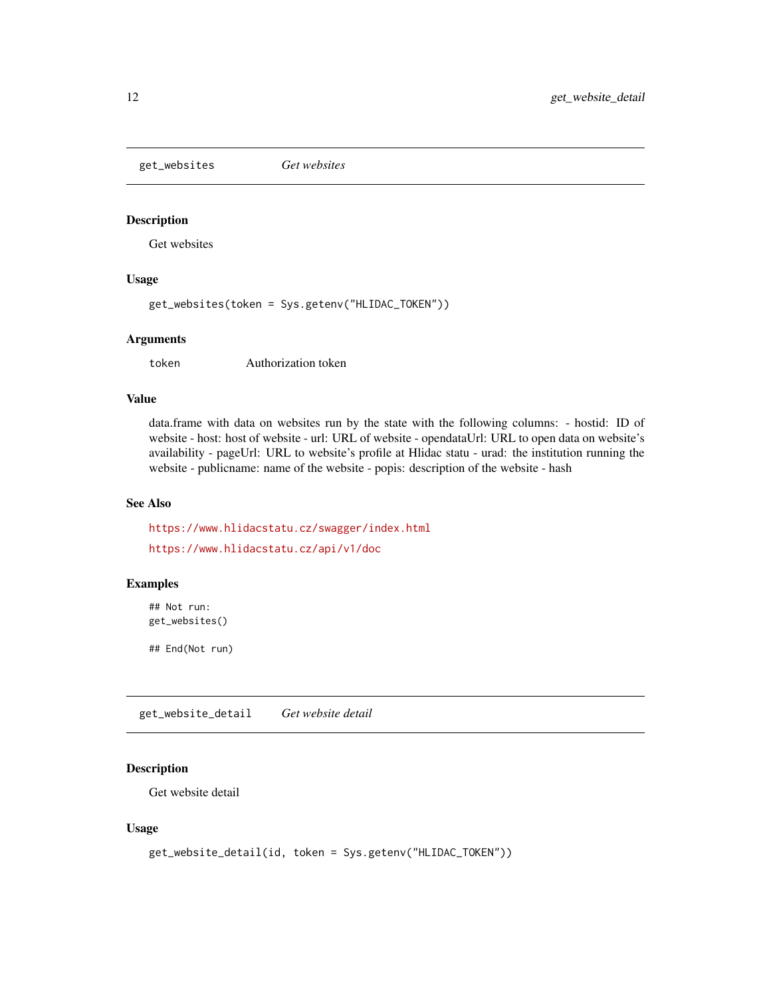<span id="page-11-0"></span>get\_websites *Get websites*

## Description

Get websites

#### Usage

get\_websites(token = Sys.getenv("HLIDAC\_TOKEN"))

## Arguments

token Authorization token

#### Value

data.frame with data on websites run by the state with the following columns: - hostid: ID of website - host: host of website - url: URL of website - opendataUrl: URL to open data on website's availability - pageUrl: URL to website's profile at Hlidac statu - urad: the institution running the website - publicname: name of the website - popis: description of the website - hash

#### See Also

<https://www.hlidacstatu.cz/swagger/index.html> <https://www.hlidacstatu.cz/api/v1/doc>

#### Examples

## Not run: get\_websites()

## End(Not run)

get\_website\_detail *Get website detail*

## Description

Get website detail

#### Usage

```
get_website_detail(id, token = Sys.getenv("HLIDAC_TOKEN"))
```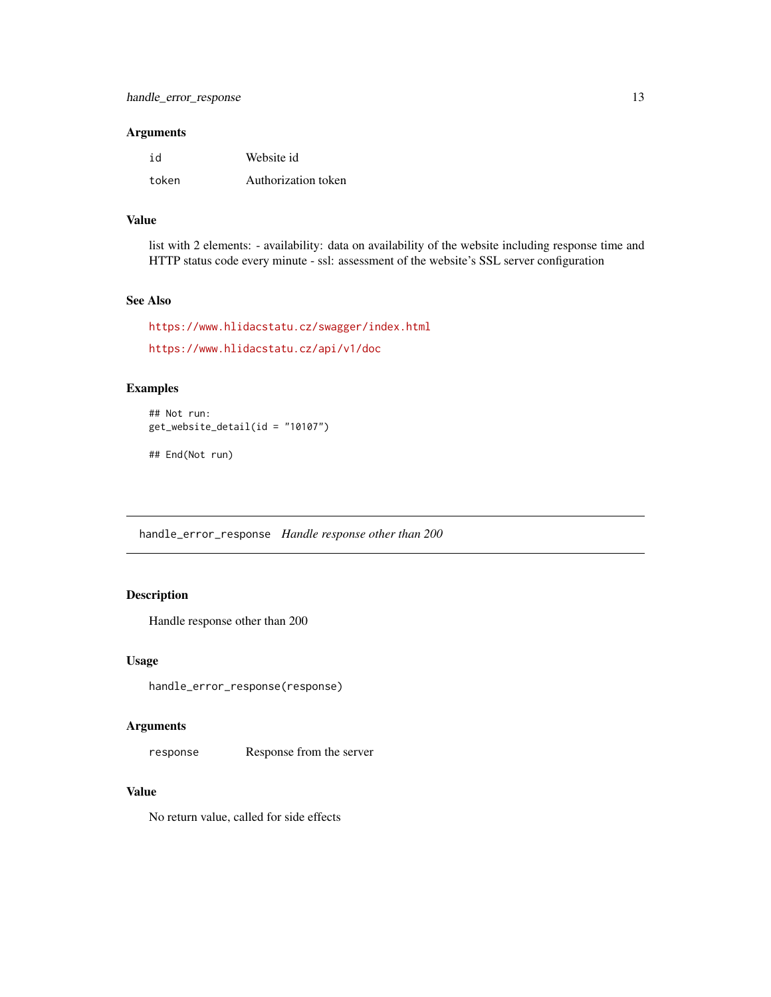#### <span id="page-12-0"></span>Arguments

| id    | Website id          |
|-------|---------------------|
| token | Authorization token |

#### Value

list with 2 elements: - availability: data on availability of the website including response time and HTTP status code every minute - ssl: assessment of the website's SSL server configuration

## See Also

```
https://www.hlidacstatu.cz/swagger/index.html
https://www.hlidacstatu.cz/api/v1/doc
```
## Examples

```
## Not run:
get_website_detail(id = "10107")
## End(Not run)
```
handle\_error\_response *Handle response other than 200*

## Description

Handle response other than 200

#### Usage

handle\_error\_response(response)

## Arguments

response Response from the server

#### Value

No return value, called for side effects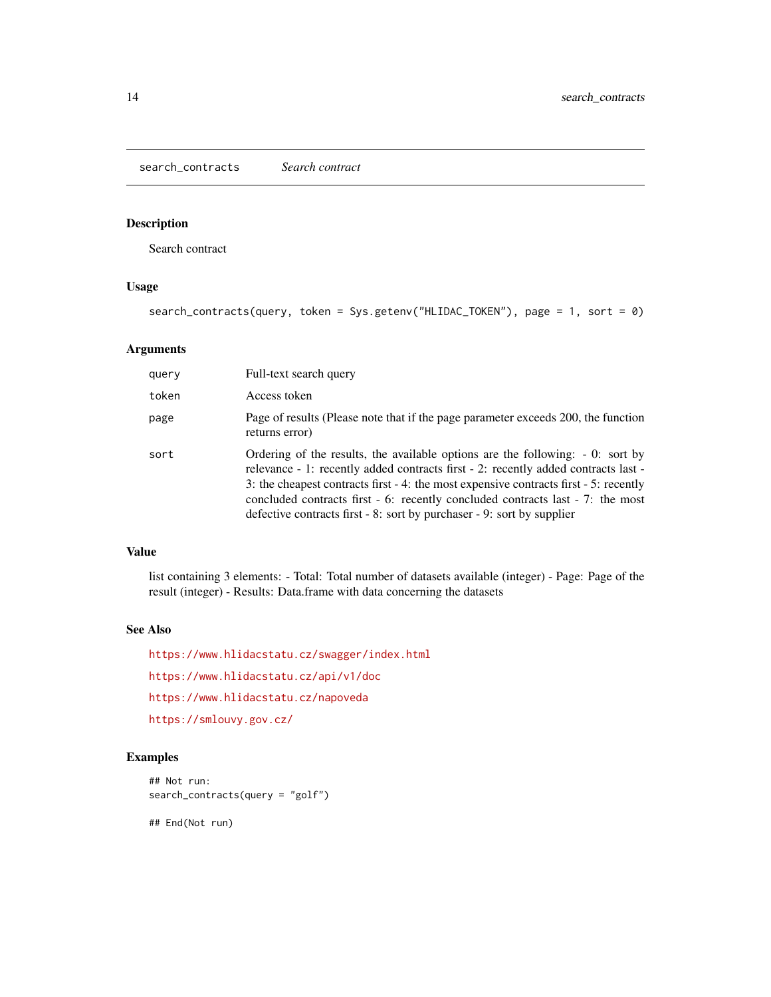<span id="page-13-0"></span>Search contract

## Usage

search\_contracts(query, token = Sys.getenv("HLIDAC\_TOKEN"), page = 1, sort = 0)

## Arguments

| query | Full-text search query                                                                                                                                                                                                                                                                                                                                                                                                   |
|-------|--------------------------------------------------------------------------------------------------------------------------------------------------------------------------------------------------------------------------------------------------------------------------------------------------------------------------------------------------------------------------------------------------------------------------|
| token | Access token                                                                                                                                                                                                                                                                                                                                                                                                             |
| page  | Page of results (Please note that if the page parameter exceeds 200, the function<br>returns error)                                                                                                                                                                                                                                                                                                                      |
| sort  | Ordering of the results, the available options are the following: -0: sort by<br>relevance - 1: recently added contracts first - 2: recently added contracts last -<br>3: the cheapest contracts first - 4: the most expensive contracts first - 5: recently<br>concluded contracts first - 6: recently concluded contracts last - 7: the most<br>defective contracts first - 8: sort by purchaser - 9: sort by supplier |

#### Value

list containing 3 elements: - Total: Total number of datasets available (integer) - Page: Page of the result (integer) - Results: Data.frame with data concerning the datasets

#### See Also

<https://www.hlidacstatu.cz/swagger/index.html> <https://www.hlidacstatu.cz/api/v1/doc> <https://www.hlidacstatu.cz/napoveda> <https://smlouvy.gov.cz/>

## Examples

```
## Not run:
search_contracts(query = "golf")
```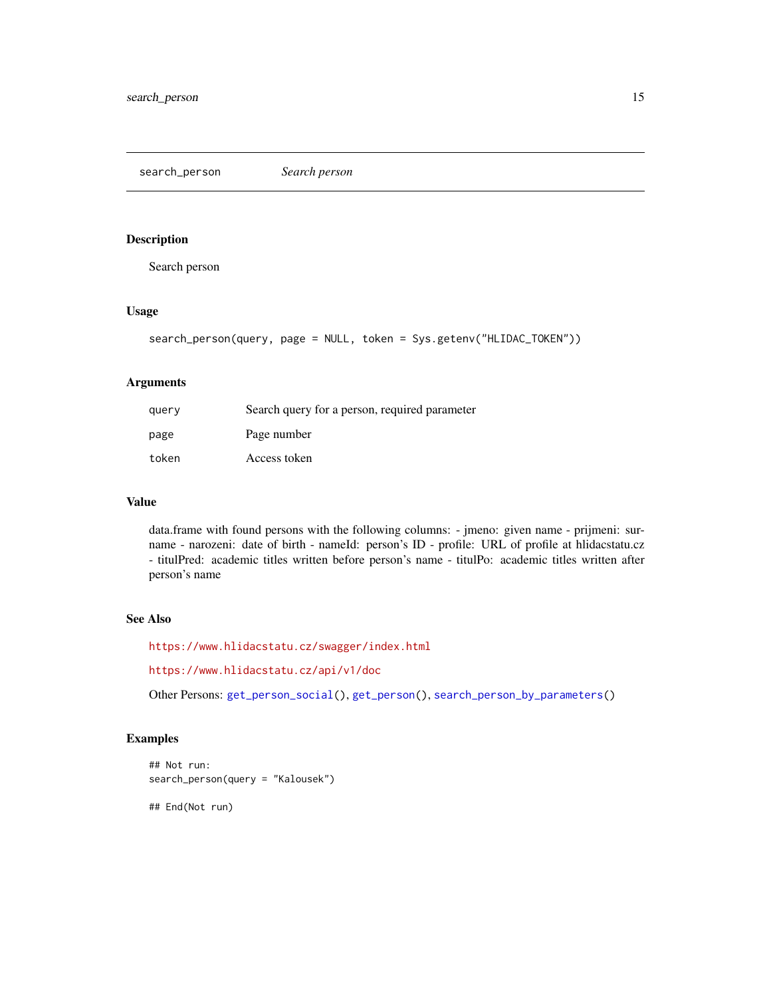<span id="page-14-1"></span><span id="page-14-0"></span>search\_person *Search person*

#### Description

Search person

## Usage

```
search_person(query, page = NULL, token = Sys.getenv("HLIDAC_TOKEN"))
```
## Arguments

| query | Search query for a person, required parameter |
|-------|-----------------------------------------------|
| page  | Page number                                   |
| token | Access token                                  |

#### Value

data.frame with found persons with the following columns: - jmeno: given name - prijmeni: surname - narozeni: date of birth - nameId: person's ID - profile: URL of profile at hlidacstatu.cz - titulPred: academic titles written before person's name - titulPo: academic titles written after person's name

## See Also

<https://www.hlidacstatu.cz/swagger/index.html>

<https://www.hlidacstatu.cz/api/v1/doc>

Other Persons: [get\\_person\\_social\(](#page-9-1)), [get\\_person\(](#page-8-1)), [search\\_person\\_by\\_parameters\(](#page-15-1))

## Examples

```
## Not run:
search_person(query = "Kalousek")
```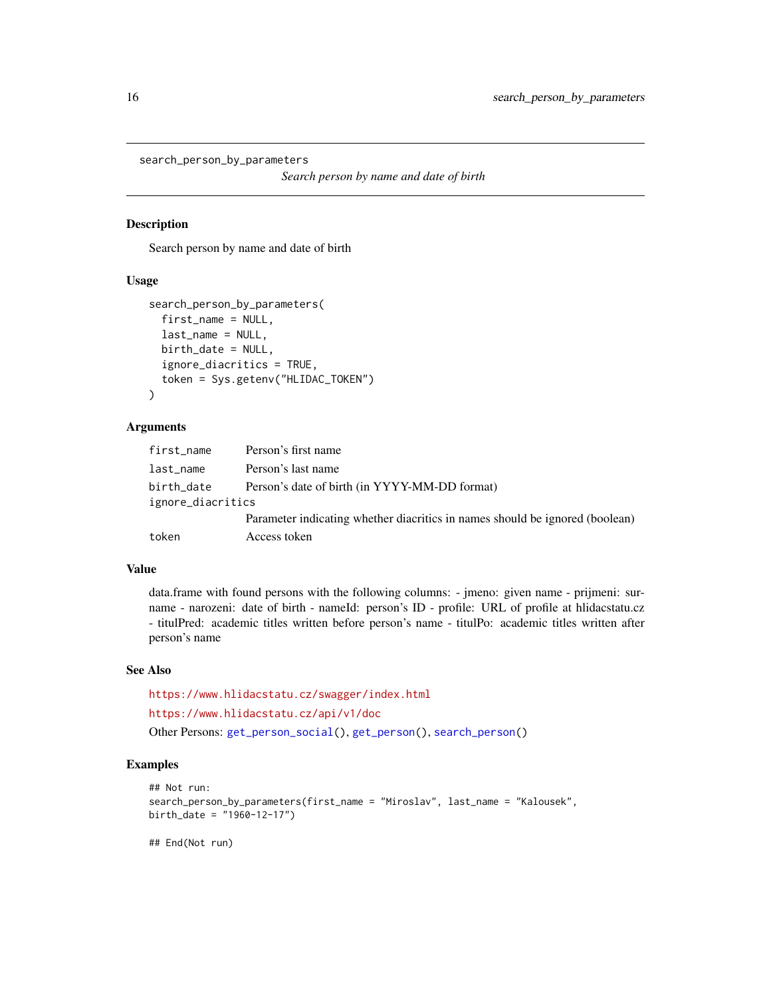```
search_person_by_parameters
```

```
Search person by name and date of birth
```
Search person by name and date of birth

#### Usage

```
search_person_by_parameters(
  first_name = NULL,
  last_name = NULL,
 birth_date = NULL,
  ignore_diacritics = TRUE,
  token = Sys.getenv("HLIDAC_TOKEN")
)
```
#### Arguments

| first_name        | Person's first name                                                          |
|-------------------|------------------------------------------------------------------------------|
| last_name         | Person's last name                                                           |
| birth_date        | Person's date of birth (in YYYY-MM-DD format)                                |
| ignore_diacritics |                                                                              |
|                   | Parameter indicating whether diacritics in names should be ignored (boolean) |
| token             | Access token                                                                 |

#### Value

data.frame with found persons with the following columns: - jmeno: given name - prijmeni: surname - narozeni: date of birth - nameId: person's ID - profile: URL of profile at hlidacstatu.cz - titulPred: academic titles written before person's name - titulPo: academic titles written after person's name

#### See Also

<https://www.hlidacstatu.cz/swagger/index.html>

<https://www.hlidacstatu.cz/api/v1/doc>

Other Persons: [get\\_person\\_social\(](#page-9-1)), [get\\_person\(](#page-8-1)), [search\\_person\(](#page-14-1))

#### Examples

```
## Not run:
search_person_by_parameters(first_name = "Miroslav", last_name = "Kalousek",
birth_date = "1960-12-17")
```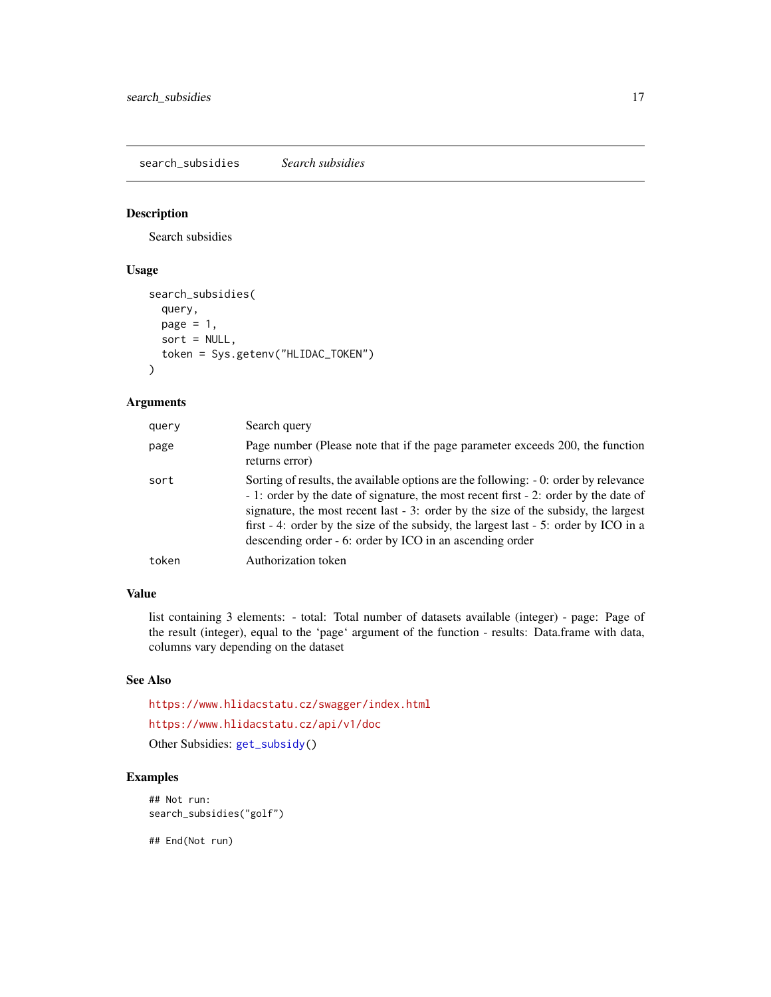<span id="page-16-1"></span><span id="page-16-0"></span>search\_subsidies *Search subsidies*

#### Description

Search subsidies

## Usage

```
search_subsidies(
  query,
  page = 1,
  sort = NULL,
  token = Sys.getenv("HLIDAC_TOKEN")
\mathcal{L}
```
## Arguments

| query | Search query                                                                                                                                                                                                                                                                                                                                                                                                          |
|-------|-----------------------------------------------------------------------------------------------------------------------------------------------------------------------------------------------------------------------------------------------------------------------------------------------------------------------------------------------------------------------------------------------------------------------|
| page  | Page number (Please note that if the page parameter exceeds 200, the function<br>returns error)                                                                                                                                                                                                                                                                                                                       |
| sort  | Sorting of results, the available options are the following: -0: order by relevance<br>- 1: order by the date of signature, the most recent first - 2: order by the date of<br>signature, the most recent last - 3: order by the size of the subsidy, the largest<br>first - 4: order by the size of the subsidy, the largest last - 5: order by ICO in a<br>descending order - 6: order by ICO in an ascending order |
| token | Authorization token                                                                                                                                                                                                                                                                                                                                                                                                   |

## Value

list containing 3 elements: - total: Total number of datasets available (integer) - page: Page of the result (integer), equal to the 'page' argument of the function - results: Data.frame with data, columns vary depending on the dataset

#### See Also

<https://www.hlidacstatu.cz/swagger/index.html> <https://www.hlidacstatu.cz/api/v1/doc> Other Subsidies: [get\\_subsidy\(](#page-10-1))

### Examples

```
## Not run:
search_subsidies("golf")
```